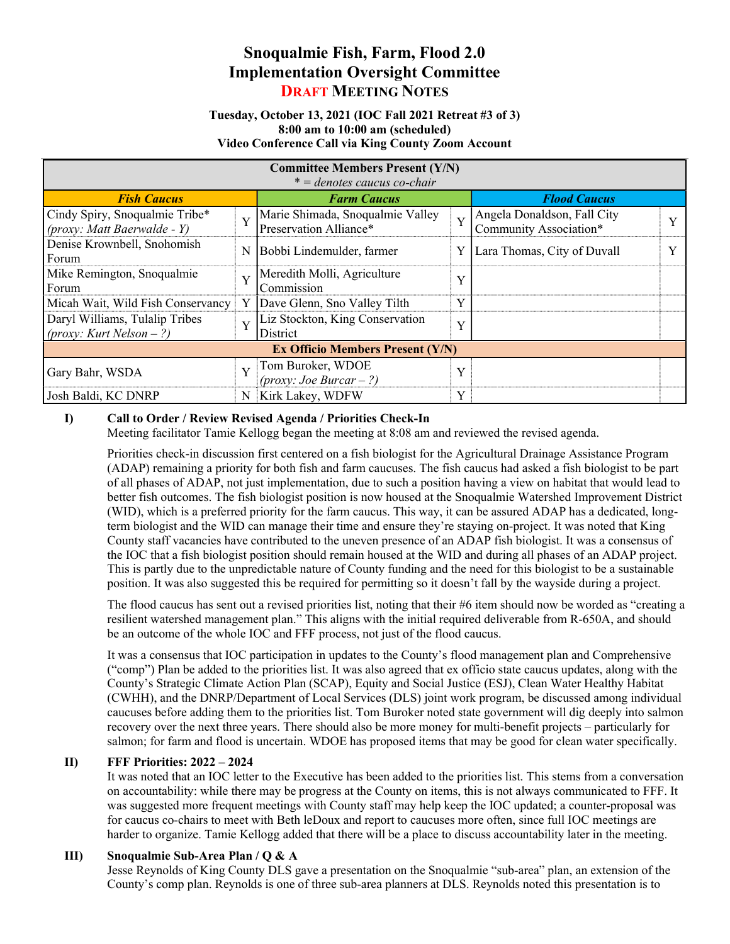# Snoqualmie Fish, Farm, Flood 2.0 Implementation Oversight Committee DRAFT MEETING NOTES

#### Tuesday, October 13, 2021 (IOC Fall 2021 Retreat #3 of 3) 8:00 am to 10:00 am (scheduled) Video Conference Call via King County Zoom Account

| <b>Committee Members Present (Y/N)</b><br>$* =$ denotes caucus co-chair |   |                                                            |   |                                                       |  |
|-------------------------------------------------------------------------|---|------------------------------------------------------------|---|-------------------------------------------------------|--|
| <b>Fish Caucus</b>                                                      |   | <b>Farm Caucus</b>                                         |   | <b>Flood Caucus</b>                                   |  |
| Cindy Spiry, Snoqualmie Tribe*<br>(proxy: Matt Baerwalde - Y)           | Y | Marie Shimada, Snoqualmie Valley<br>Preservation Alliance* | Y | Angela Donaldson, Fall City<br>Community Association* |  |
| Denise Krownbell, Snohomish<br>Forum                                    | N | Bobbi Lindemulder, farmer                                  | Y | Lara Thomas, City of Duvall                           |  |
| Mike Remington, Snoqualmie<br>Forum                                     | Y | Meredith Molli, Agriculture<br>Commission                  | Y |                                                       |  |
| Micah Wait, Wild Fish Conservancy                                       | Y | Dave Glenn, Sno Valley Tilth                               | Y |                                                       |  |
| Daryl Williams, Tulalip Tribes<br>$(prows: Kurt Nelson - ?)$            | Y | Liz Stockton, King Conservation<br>District                | Y |                                                       |  |
| <b>Ex Officio Members Present (Y/N)</b>                                 |   |                                                            |   |                                                       |  |
| Gary Bahr, WSDA                                                         | Y | Tom Buroker, WDOE<br>$(prows: Joe Bureau - ?)$             | Y |                                                       |  |
| Josh Baldi, KC DNRP                                                     | N | Kirk Lakey, WDFW                                           | Y |                                                       |  |

## I) Call to Order / Review Revised Agenda / Priorities Check-In

Meeting facilitator Tamie Kellogg began the meeting at 8:08 am and reviewed the revised agenda.

Priorities check-in discussion first centered on a fish biologist for the Agricultural Drainage Assistance Program (ADAP) remaining a priority for both fish and farm caucuses. The fish caucus had asked a fish biologist to be part of all phases of ADAP, not just implementation, due to such a position having a view on habitat that would lead to better fish outcomes. The fish biologist position is now housed at the Snoqualmie Watershed Improvement District (WID), which is a preferred priority for the farm caucus. This way, it can be assured ADAP has a dedicated, longterm biologist and the WID can manage their time and ensure they're staying on-project. It was noted that King County staff vacancies have contributed to the uneven presence of an ADAP fish biologist. It was a consensus of the IOC that a fish biologist position should remain housed at the WID and during all phases of an ADAP project. This is partly due to the unpredictable nature of County funding and the need for this biologist to be a sustainable position. It was also suggested this be required for permitting so it doesn't fall by the wayside during a project.

The flood caucus has sent out a revised priorities list, noting that their #6 item should now be worded as "creating a resilient watershed management plan." This aligns with the initial required deliverable from R-650A, and should be an outcome of the whole IOC and FFF process, not just of the flood caucus.

It was a consensus that IOC participation in updates to the County's flood management plan and Comprehensive ("comp") Plan be added to the priorities list. It was also agreed that ex officio state caucus updates, along with the County's Strategic Climate Action Plan (SCAP), Equity and Social Justice (ESJ), Clean Water Healthy Habitat (CWHH), and the DNRP/Department of Local Services (DLS) joint work program, be discussed among individual caucuses before adding them to the priorities list. Tom Buroker noted state government will dig deeply into salmon recovery over the next three years. There should also be more money for multi-benefit projects – particularly for salmon; for farm and flood is uncertain. WDOE has proposed items that may be good for clean water specifically.

## II) FFF Priorities: 2022 – 2024

It was noted that an IOC letter to the Executive has been added to the priorities list. This stems from a conversation on accountability: while there may be progress at the County on items, this is not always communicated to FFF. It was suggested more frequent meetings with County staff may help keep the IOC updated; a counter-proposal was for caucus co-chairs to meet with Beth leDoux and report to caucuses more often, since full IOC meetings are harder to organize. Tamie Kellogg added that there will be a place to discuss accountability later in the meeting.

## III) Snoqualmie Sub-Area Plan / Q & A

Jesse Reynolds of King County DLS gave a presentation on the Snoqualmie "sub-area" plan, an extension of the County's comp plan. Reynolds is one of three sub-area planners at DLS. Reynolds noted this presentation is to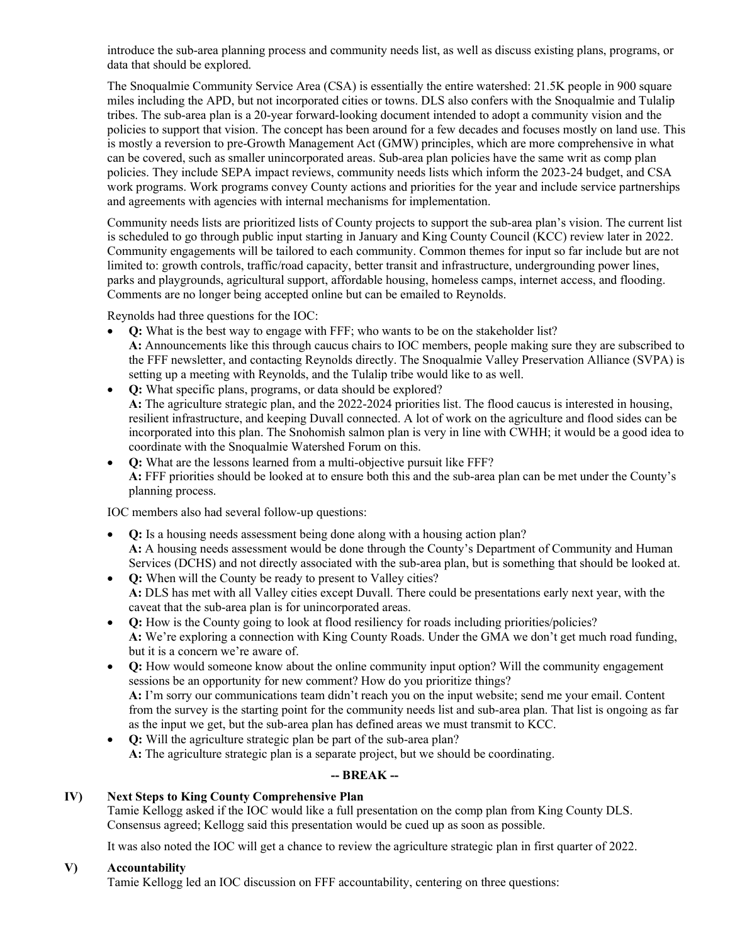introduce the sub-area planning process and community needs list, as well as discuss existing plans, programs, or data that should be explored.

The Snoqualmie Community Service Area (CSA) is essentially the entire watershed: 21.5K people in 900 square miles including the APD, but not incorporated cities or towns. DLS also confers with the Snoqualmie and Tulalip tribes. The sub-area plan is a 20-year forward-looking document intended to adopt a community vision and the policies to support that vision. The concept has been around for a few decades and focuses mostly on land use. This is mostly a reversion to pre-Growth Management Act (GMW) principles, which are more comprehensive in what can be covered, such as smaller unincorporated areas. Sub-area plan policies have the same writ as comp plan policies. They include SEPA impact reviews, community needs lists which inform the 2023-24 budget, and CSA work programs. Work programs convey County actions and priorities for the year and include service partnerships and agreements with agencies with internal mechanisms for implementation.

Community needs lists are prioritized lists of County projects to support the sub-area plan's vision. The current list is scheduled to go through public input starting in January and King County Council (KCC) review later in 2022. Community engagements will be tailored to each community. Common themes for input so far include but are not limited to: growth controls, traffic/road capacity, better transit and infrastructure, undergrounding power lines, parks and playgrounds, agricultural support, affordable housing, homeless camps, internet access, and flooding. Comments are no longer being accepted online but can be emailed to Reynolds.

Reynolds had three questions for the IOC:

- Q: What is the best way to engage with FFF; who wants to be on the stakeholder list? A: Announcements like this through caucus chairs to IOC members, people making sure they are subscribed to the FFF newsletter, and contacting Reynolds directly. The Snoqualmie Valley Preservation Alliance (SVPA) is setting up a meeting with Reynolds, and the Tulalip tribe would like to as well.
- Q: What specific plans, programs, or data should be explored? A: The agriculture strategic plan, and the 2022-2024 priorities list. The flood caucus is interested in housing, resilient infrastructure, and keeping Duvall connected. A lot of work on the agriculture and flood sides can be incorporated into this plan. The Snohomish salmon plan is very in line with CWHH; it would be a good idea to coordinate with the Snoqualmie Watershed Forum on this.
- Q: What are the lessons learned from a multi-objective pursuit like FFF? A: FFF priorities should be looked at to ensure both this and the sub-area plan can be met under the County's planning process.

IOC members also had several follow-up questions:

- Q: Is a housing needs assessment being done along with a housing action plan? A: A housing needs assessment would be done through the County's Department of Community and Human Services (DCHS) and not directly associated with the sub-area plan, but is something that should be looked at.
- Q: When will the County be ready to present to Valley cities? A: DLS has met with all Valley cities except Duvall. There could be presentations early next year, with the caveat that the sub-area plan is for unincorporated areas.
- Q: How is the County going to look at flood resiliency for roads including priorities/policies? A: We're exploring a connection with King County Roads. Under the GMA we don't get much road funding, but it is a concern we're aware of.
- Q: How would someone know about the online community input option? Will the community engagement sessions be an opportunity for new comment? How do you prioritize things? A: I'm sorry our communications team didn't reach you on the input website; send me your email. Content from the survey is the starting point for the community needs list and sub-area plan. That list is ongoing as far as the input we get, but the sub-area plan has defined areas we must transmit to KCC.
- Q: Will the agriculture strategic plan be part of the sub-area plan? A: The agriculture strategic plan is a separate project, but we should be coordinating.

# -- BREAK --

# IV) Next Steps to King County Comprehensive Plan

Tamie Kellogg asked if the IOC would like a full presentation on the comp plan from King County DLS. Consensus agreed; Kellogg said this presentation would be cued up as soon as possible.

It was also noted the IOC will get a chance to review the agriculture strategic plan in first quarter of 2022.

## V) Accountability

Tamie Kellogg led an IOC discussion on FFF accountability, centering on three questions: